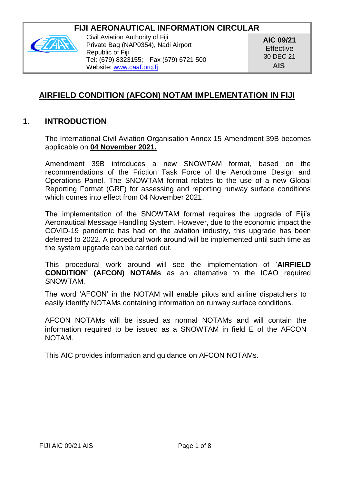# **FIJI AFRONAUTICAL INFORMATION CIRCULAR**



Civil Aviation Authority of Fiji Private Bag (NAP0354), Nadi Airport Republic of Fiji Tel: (679) 8323155; Fax (679) 6721 500 Website[: www.caaf.org.fj](http://www.caaf.org.fj/)

**AIC 09/21 Effective** 30 DEC 21 **AIS**

# **AIRFIELD CONDITION (AFCON) NOTAM IMPLEMENTATION IN FIJI**

# **1. INTRODUCTION**

The International Civil Aviation Organisation Annex 15 Amendment 39B becomes applicable on **04 November 2021.**

Amendment 39B introduces a new SNOWTAM format, based on the recommendations of the Friction Task Force of the Aerodrome Design and Operations Panel. The SNOWTAM format relates to the use of a new Global Reporting Format (GRF) for assessing and reporting runway surface conditions which comes into effect from 04 November 2021.

The implementation of the SNOWTAM format requires the upgrade of Fiji's Aeronautical Message Handling System. However, due to the economic impact the COVID-19 pandemic has had on the aviation industry, this upgrade has been deferred to 2022. A procedural work around will be implemented until such time as the system upgrade can be carried out.

This procedural work around will see the implementation of '**AIRFIELD CONDITION' (AFCON) NOTAMs** as an alternative to the ICAO required SNOWTAM.

The word 'AFCON' in the NOTAM will enable pilots and airline dispatchers to easily identify NOTAMs containing information on runway surface conditions.

AFCON NOTAMs will be issued as normal NOTAMs and will contain the information required to be issued as a SNOWTAM in field E of the AFCON NOTAM.

This AIC provides information and guidance on AFCON NOTAMs.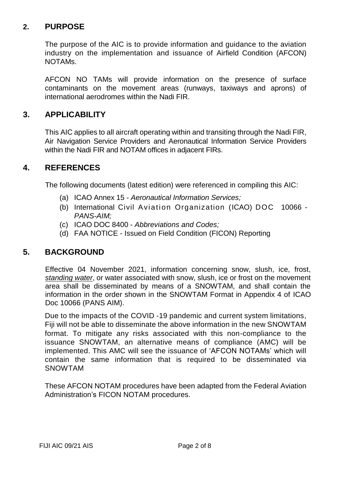# **2. PURPOSE**

The purpose of the AIC is to provide information and guidance to the aviation industry on the implementation and issuance of Airfield Condition (AFCON) NOTAMs.

AFCON NO TAMs will provide information on the presence of surface contaminants on the movement areas (runways, taxiways and aprons) of international aerodromes within the Nadi FIR.

# **3. APPLICABILITY**

This AIC applies to all aircraft operating within and transiting through the Nadi FIR, Air Navigation Service Providers and Aeronautical Information Service Providers within the Nadi FIR and NOTAM offices in adjacent FIRs.

## **4. REFERENCES**

The following documents (latest edition) were referenced in compiling this AIC:

- (a) ICAO Annex 15 *Aeronautical Information Services;*
- (b) International Civil Aviation Organization (ICAO) DOC10066 *PANS-AIM;*
- (c) ICAO DOC 8400 *Abbreviations and Codes;*
- (d) FAA NOTICE Issued on Field Condition (FICON) Reporting

# **5. BACKGROUND**

Effective 04 November 2021, information concerning snow, slush, ice, frost, *standing water*, or water associated with snow, slush, ice or frost on the movement area shall be disseminated by means of a SNOWTAM, and shall contain the information in the order shown in the SNOWTAM Format in Appendix 4 of ICAO Doc 10066 (PANS AIM).

Due to the impacts of the COVID -19 pandemic and current system limitations, Fiji will not be able to disseminate the above information in the new SNOWTAM format. To mitigate any risks associated with this non-compliance to the issuance SNOWTAM, an alternative means of compliance (AMC) will be implemented. This AMC will see the issuance of 'AFCON NOTAMs' which will contain the same information that is required to be disseminated via SNOWTAM

These AFCON NOTAM procedures have been adapted from the Federal Aviation Administration's FICON NOTAM procedures.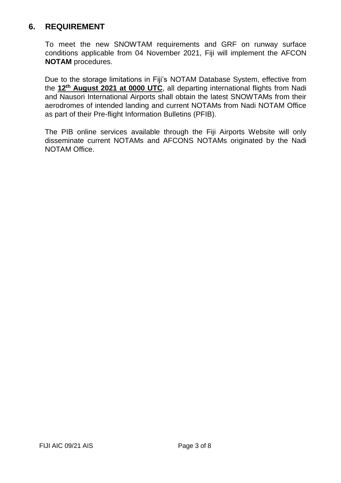# **6. REQUIREMENT**

To meet the new SNOWTAM requirements and GRF on runway surface conditions applicable from 04 November 2021, Fiji will implement the AFCON **NOTAM** procedures.

Due to the storage limitations in Fiji's NOTAM Database System, effective from the **12th August 2021 at 0000 UTC**, all departing international flights from Nadi and Nausori International Airports shall obtain the latest SNOWTAMs from their aerodromes of intended landing and current NOTAMs from Nadi NOTAM Office as part of their Pre-flight Information Bulletins (PFIB).

The PIB online services available through the Fiji Airports Website will only disseminate current NOTAMs and AFCONS NOTAMs originated by the Nadi NOTAM Office.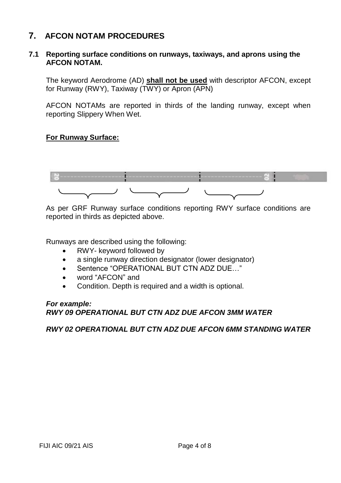# **7. AFCON NOTAM PROCEDURES**

#### **7.1 Reporting surface conditions on runways, taxiways, and aprons using the AFCON NOTAM.**

The keyword Aerodrome (AD) **shall not be used** with descriptor AFCON, except for Runway (RWY), Taxiway (TWY) or Apron (APN)

AFCON NOTAMs are reported in thirds of the landing runway, except when reporting Slippery When Wet.

### **For Runway Surface:**



As per GRF Runway surface conditions reporting RWY surface conditions are reported in thirds as depicted above.

Runways are described using the following:

- RWY- keyword followed by
- a single runway direction designator (lower designator)
- Sentence "OPERATIONAL BUT CTN ADZ DUE..."
- word "AFCON" and
- Condition. Depth is required and a width is optional.

#### *For example: RWY 09 OPERATIONAL BUT CTN ADZ DUE AFCON 3MM WATER*

#### *RWY 02 OPERATIONAL BUT CTN ADZ DUE AFCON 6MM STANDING WATER*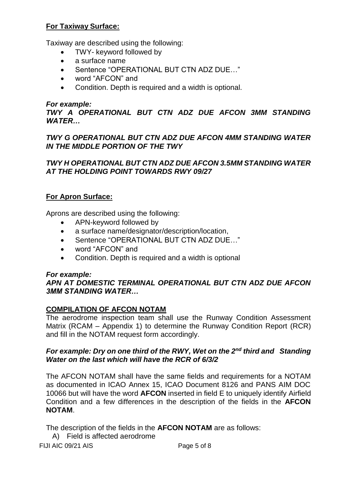### **For Taxiway Surface:**

Taxiway are described using the following:

- TWY- keyword followed by
- a surface name
- Sentence "OPERATIONAL BUT CTN ADZ DUE..."
- word "AFCON" and
- Condition. Depth is required and a width is optional.

### *For example:*

*TWY A OPERATIONAL BUT CTN ADZ DUE AFCON 3MM STANDING WATER…* 

### *TWY G OPERATIONAL BUT CTN ADZ DUE AFCON 4MM STANDING WATER IN THE MIDDLE PORTION OF THE TWY*

### *TWY H OPERATIONAL BUT CTN ADZ DUE AFCON 3.5MM STANDING WATER AT THE HOLDING POINT TOWARDS RWY 09/27*

## **For Apron Surface:**

Aprons are described using the following:

- APN-keyword followed by
- a surface name/designator/description/location,
- Sentence "OPERATIONAL BUT CTN ADZ DUE…"
- word "AFCON" and
- Condition. Depth is required and a width is optional

### *For example:*

### *APN AT DOMESTIC TERMINAL OPERATIONAL BUT CTN ADZ DUE AFCON 3MM STANDING WATER…*

# **COMPILATION OF AFCON NOTAM**

The aerodrome inspection team shall use the Runway Condition Assessment Matrix (RCAM – Appendix 1) to determine the Runway Condition Report (RCR) and fill in the NOTAM request form accordingly.

### *For example: Dry on one third of the RWY, Wet on the 2nd third and Standing Water on the last which will have the RCR of 6/3/2*

The AFCON NOTAM shall have the same fields and requirements for a NOTAM as documented in ICAO Annex 15, ICAO Document 8126 and PANS AIM DOC 10066 but will have the word **AFCON** inserted in field E to uniquely identify Airfield Condition and a few differences in the description of the fields in the **AFCON NOTAM**.

The description of the fields in the **AFCON NOTAM** are as follows:

A) Field is affected aerodrome

FIJI AIC 09/21 AIS Page 5 of 8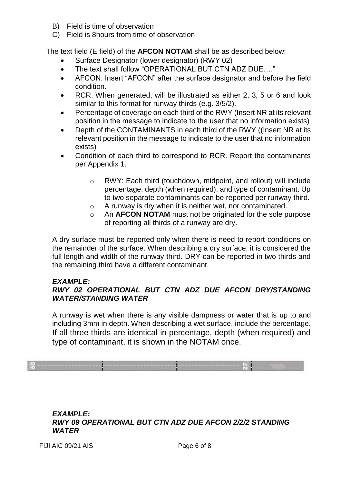- B) Field is time of observation
- C) Field is 8hours from time of observation

The text field (E field) of the **AFCON NOTAM** shall be as described below:

- Surface Designator (lower designator) (RWY 02)
- The text shall follow "OPERATIONAL BUT CTN ADZ DUE…."
- AFCON. Insert "AFCON" after the surface designator and before the field condition.
- RCR. When generated, will be illustrated as either 2, 3, 5 or 6 and look similar to this format for runway thirds (e.g. 3/5/2).
- Percentage of coverage on each third of the RWY (Insert NR at its relevant position in the message to indicate to the user that no information exists)
- Depth of the CONTAMINANTS in each third of the RWY ((Insert NR at its relevant position in the message to indicate to the user that no information exists)
- Condition of each third to correspond to RCR. Report the contaminants per Appendix 1.
	- o RWY: Each third (touchdown, midpoint, and rollout) will include percentage, depth (when required), and type of contaminant. Up to two separate contaminants can be reported per runway third.
	- o A runway is dry when it is neither wet, nor contaminated.
	- o An **AFCON NOTAM** must not be originated for the sole purpose of reporting all thirds of a runway are dry.

A dry surface must be reported only when there is need to report conditions on the remainder of the surface. When describing a dry surface, it is considered the full length and width of the runway third. DRY can be reported in two thirds and the remaining third have a different contaminant.

### *EXAMPLE:*

## *RWY 02 OPERATIONAL BUT CTN ADZ DUE AFCON DRY/STANDING WATER/STANDING WATER*

A runway is wet when there is any visible dampness or water that is up to and including 3mm in depth. When describing a wet surface, include the percentage. If all three thirds are identical in percentage, depth (when required) and type of contaminant, it is shown in the NOTAM once.



#### *EXAMPLE: RWY 09 OPERATIONAL BUT CTN ADZ DUE AFCON 2/2/2 STANDING WATER*

FIJI AIC 09/21 AIS Page 6 of 8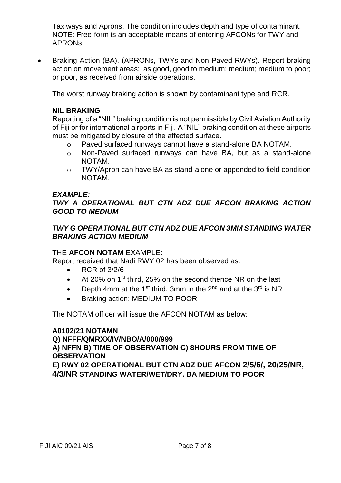Taxiways and Aprons. The condition includes depth and type of contaminant. NOTE: Free-form is an acceptable means of entering AFCONs for TWY and APRONs.

• Braking Action (BA). (APRONs, TWYs and Non-Paved RWYs). Report braking action on movement areas: as good, good to medium; medium; medium to poor; or poor, as received from airside operations.

The worst runway braking action is shown by contaminant type and RCR.

### **NIL BRAKING**

Reporting of a "NIL" braking condition is not permissible by Civil Aviation Authority of Fiji or for international airports in Fiji. A "NIL" braking condition at these airports must be mitigated by closure of the affected surface.

- o Paved surfaced runways cannot have a stand-alone BA NOTAM.
- o Non-Paved surfaced runways can have BA, but as a stand-alone NOTAM.
- o TWY/Apron can have BA as stand-alone or appended to field condition NOTAM.

#### *EXAMPLE:*

### *TWY A OPERATIONAL BUT CTN ADZ DUE AFCON BRAKING ACTION GOOD TO MEDIUM*

### *TWY G OPERATIONAL BUT CTN ADZ DUE AFCON 3MM STANDING WATER BRAKING ACTION MEDIUM*

#### THE **AFCON NOTAM** EXAMPLE**:**

Report received that Nadi RWY 02 has been observed as:

- RCR of 3/2/6
- At 20% on 1<sup>st</sup> third, 25% on the second thence NR on the last
- Depth 4mm at the 1<sup>st</sup> third, 3mm in the 2<sup>nd</sup> and at the 3<sup>rd</sup> is NR
- Braking action: MEDIUM TO POOR

The NOTAM officer will issue the AFCON NOTAM as below:

**A0102/21 NOTAMN Q) NFFF/QMRXX/IV/NBO/A/000/999 A) NFFN B) TIME OF OBSERVATION C) 8HOURS FROM TIME OF OBSERVATION E) RWY 02 OPERATIONAL BUT CTN ADZ DUE AFCON 2/5/6/, 20/25/NR, 4/3/NR STANDING WATER/WET/DRY. BA MEDIUM TO POOR**